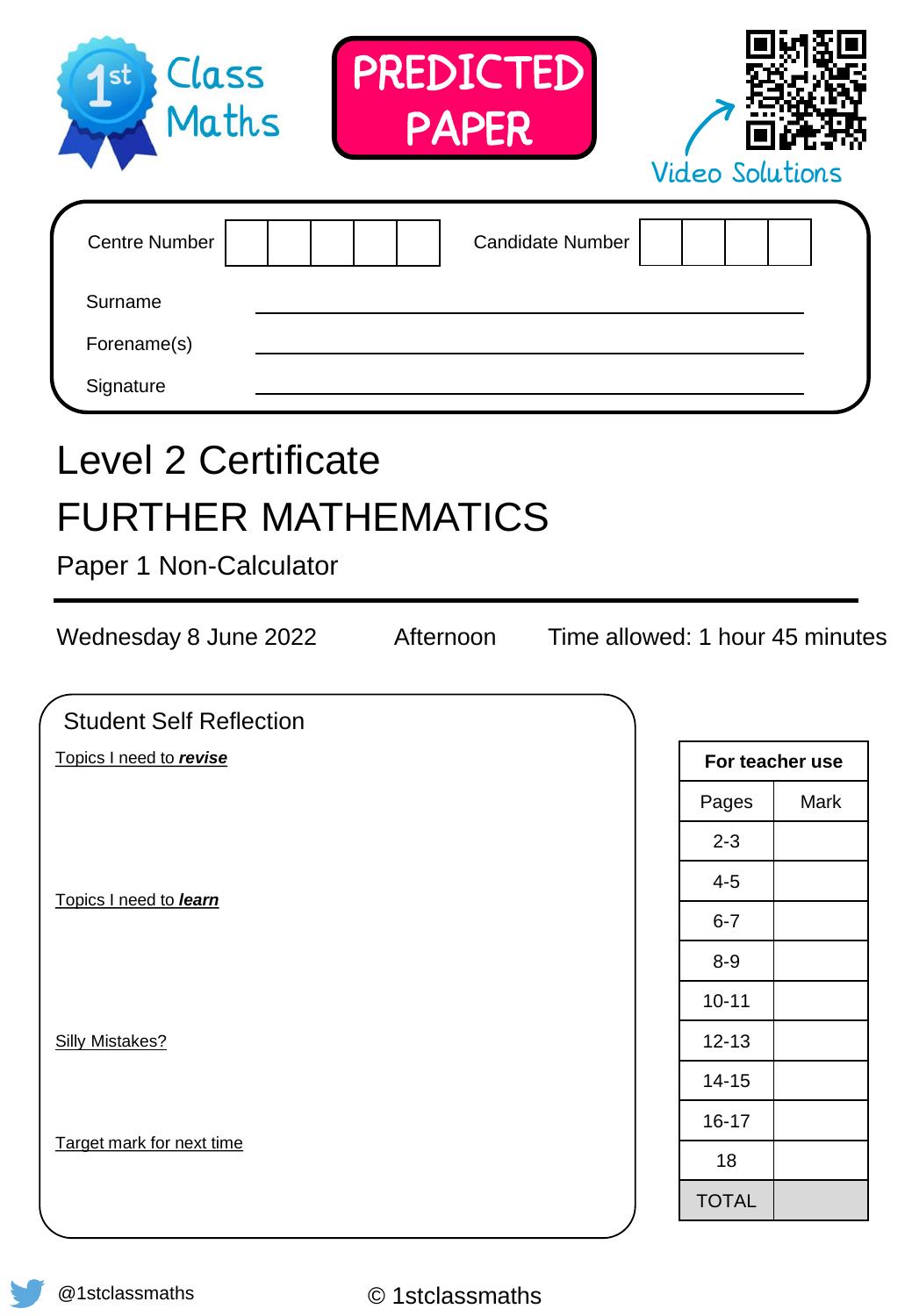| PREDICTED<br>Class<br>1st<br>Maths<br><b>PAPER</b>                                                                       | <b>Video Solutions</b>          |      |
|--------------------------------------------------------------------------------------------------------------------------|---------------------------------|------|
| <b>Centre Number</b><br><b>Candidate Number</b><br>Surname<br>Forename(s)<br>Signature                                   |                                 |      |
| <b>Level 2 Certificate</b><br><b>FURTHER MATHEMATICS</b><br>Paper 1 Non-Calculator<br>Wednesday 8 June 2022<br>Afternoon | Time allowed: 1 hour 45 minutes |      |
| <b>Student Self Reflection</b>                                                                                           |                                 |      |
| Topics I need to revise                                                                                                  | For teacher use                 |      |
|                                                                                                                          | Pages                           | Mark |
|                                                                                                                          | $2 - 3$                         |      |
| Topics I need to learn                                                                                                   | $4 - 5$                         |      |
|                                                                                                                          | $6 - 7$                         |      |
|                                                                                                                          | $8-9$                           |      |
|                                                                                                                          | $10 - 11$                       |      |
| <b>Silly Mistakes?</b>                                                                                                   | $12 - 13$                       |      |
|                                                                                                                          | $14 - 15$                       |      |
| Target mark for next time                                                                                                | $16 - 17$                       |      |
|                                                                                                                          | 18                              |      |
|                                                                                                                          | <b>TOTAL</b>                    |      |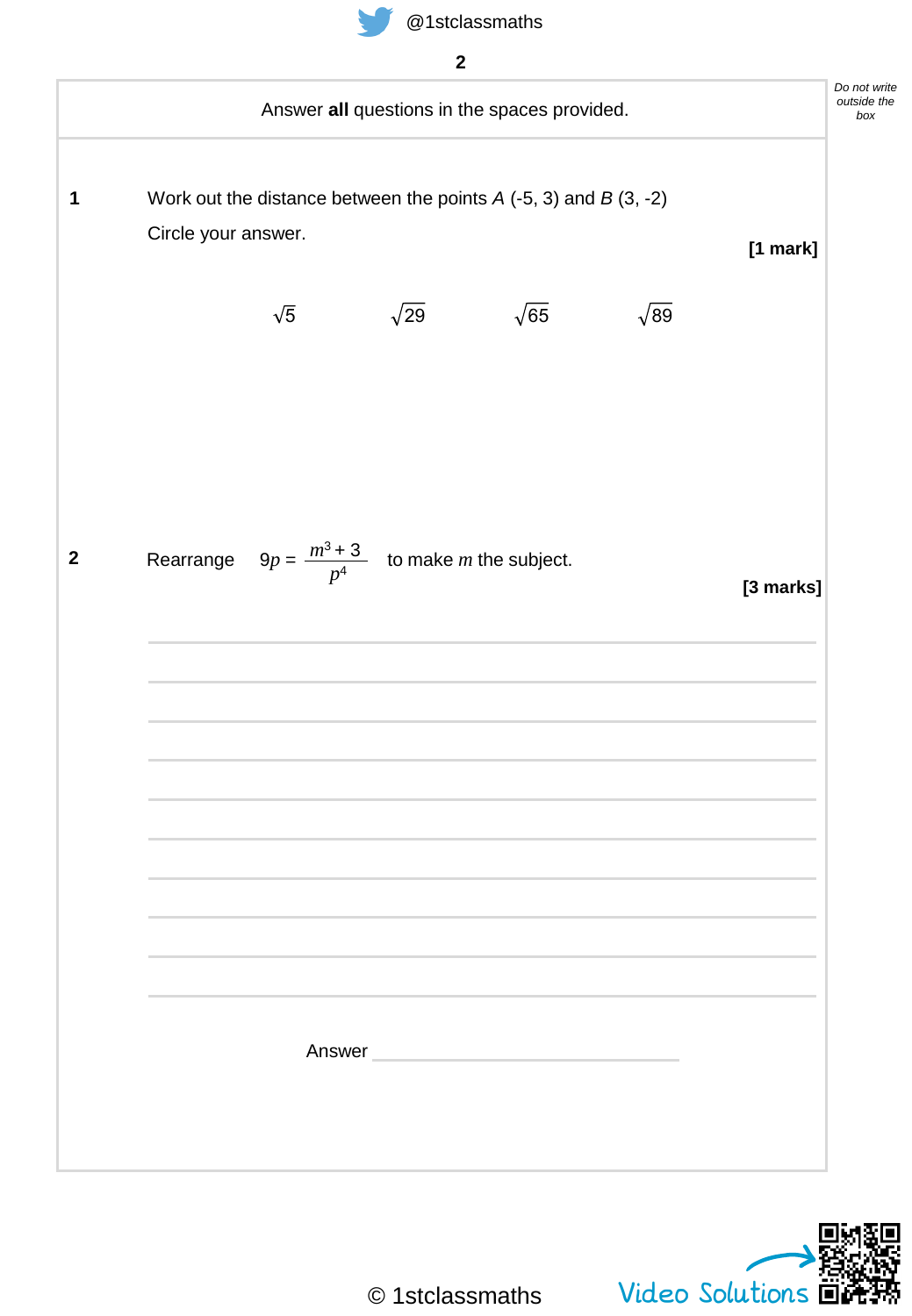



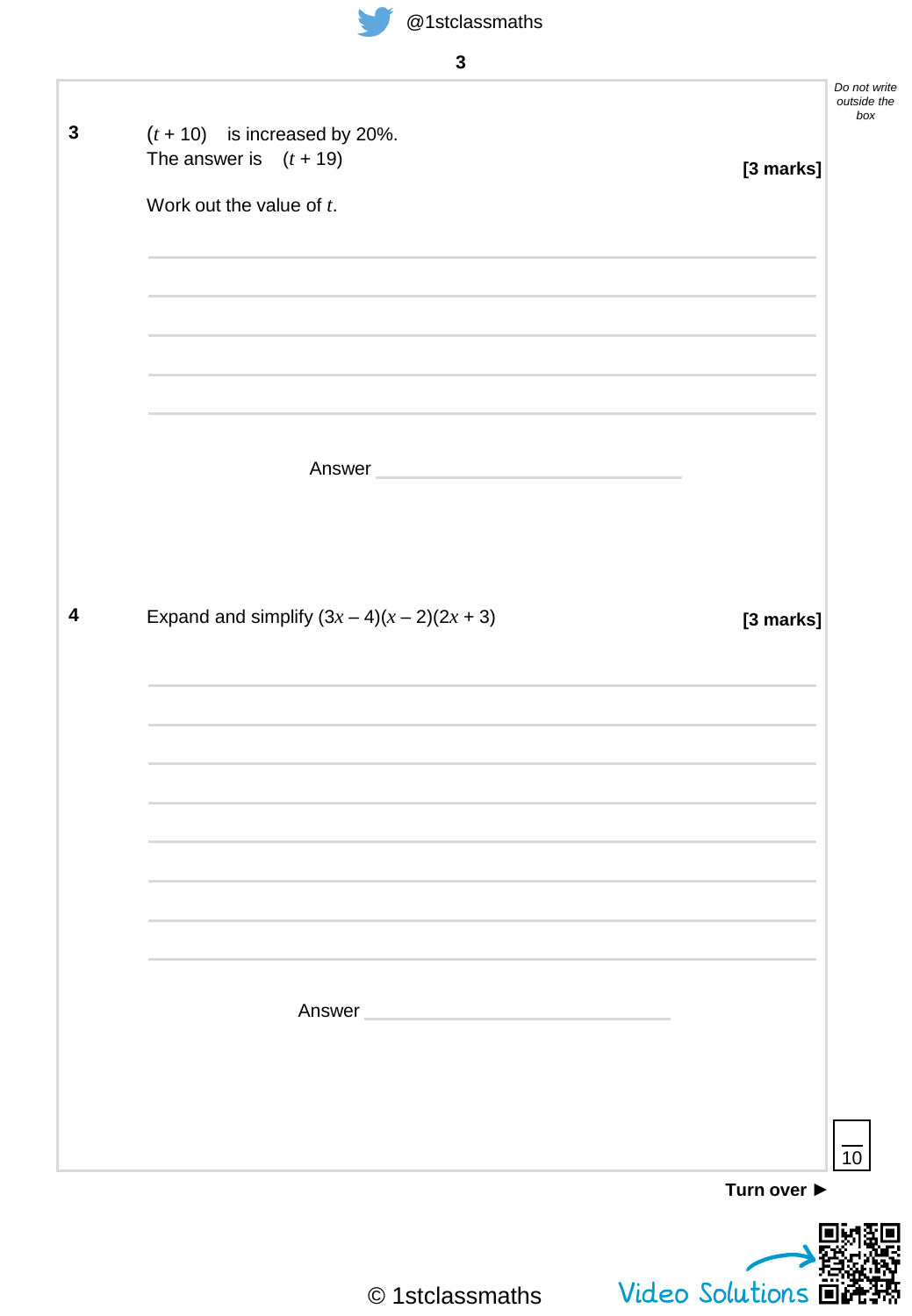

| $\mathbf{3}$                                                                                            |                                    |
|---------------------------------------------------------------------------------------------------------|------------------------------------|
| $(t + 10)$ is increased by 20%.<br>The answer is $(t + 19)$<br>[3 marks]<br>Work out the value of $t$ . | Do not write<br>outside the<br>box |
|                                                                                                         |                                    |
| Answer <b>Answer Answer</b>                                                                             |                                    |
| Expand and simplify $(3x-4)(x-2)(2x+3)$<br>[3 marks]                                                    |                                    |
|                                                                                                         |                                    |
|                                                                                                         |                                    |
| Answer                                                                                                  |                                    |
| Turn over ▶                                                                                             | $\overline{10}$                    |
| Video Solutions $\overline{u}$<br>© 1stclassmaths                                                       |                                    |

Á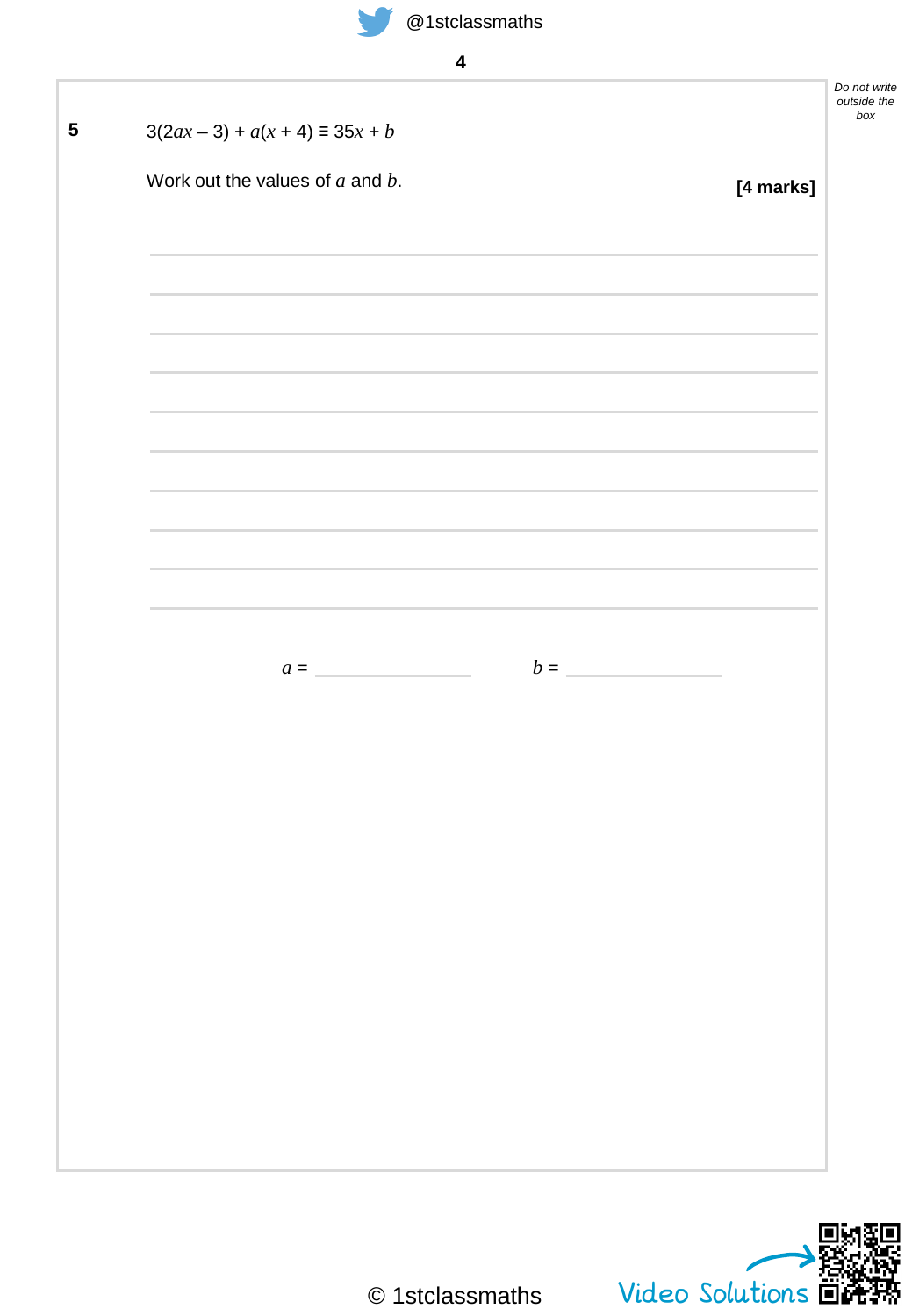| $3(2ax - 3) + a(x + 4) \equiv 35x + b$ |                                                                                                                  |
|----------------------------------------|------------------------------------------------------------------------------------------------------------------|
| Work out the values of $a$ and $b$ .   | [4 marks]                                                                                                        |
|                                        |                                                                                                                  |
|                                        |                                                                                                                  |
|                                        | and the control of the control of the control of the control of the control of the control of the control of the |
|                                        |                                                                                                                  |
|                                        |                                                                                                                  |
|                                        |                                                                                                                  |
|                                        |                                                                                                                  |
|                                        |                                                                                                                  |
|                                        | $b =$                                                                                                            |
| $a =$                                  |                                                                                                                  |
|                                        |                                                                                                                  |
|                                        |                                                                                                                  |
|                                        |                                                                                                                  |
|                                        |                                                                                                                  |
|                                        |                                                                                                                  |
|                                        |                                                                                                                  |
|                                        |                                                                                                                  |
|                                        |                                                                                                                  |
|                                        |                                                                                                                  |

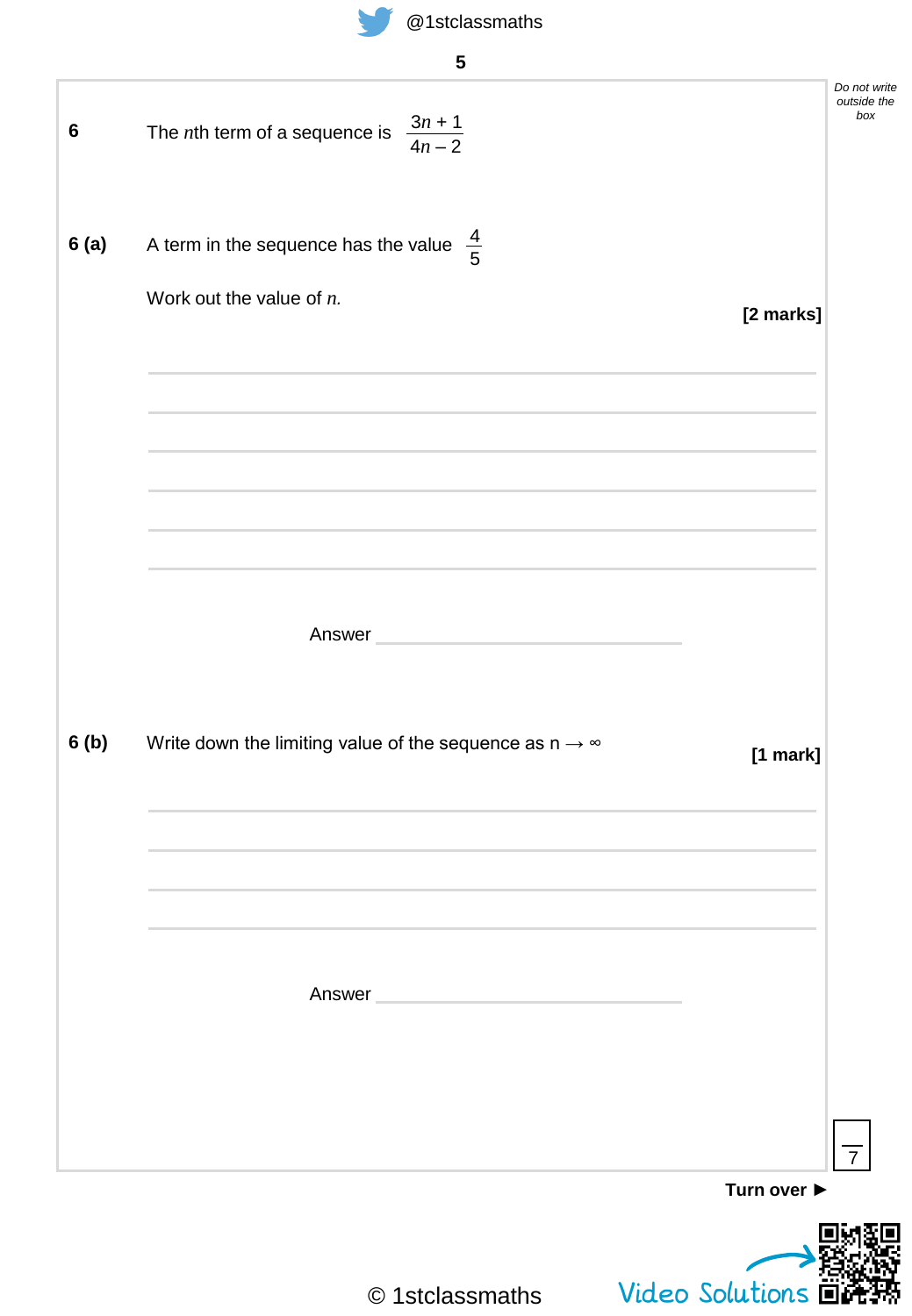

|                 | 5                                                                                                              |             |                                    |
|-----------------|----------------------------------------------------------------------------------------------------------------|-------------|------------------------------------|
| $6\phantom{1}6$ | The <i>n</i> th term of a sequence is $\frac{3n+1}{4n-2}$                                                      |             | Do not write<br>outside the<br>box |
| 6(a)            | A term in the sequence has the value $\frac{4}{5}$                                                             |             |                                    |
|                 | Work out the value of $n$ .                                                                                    | [2 marks]   |                                    |
|                 |                                                                                                                |             |                                    |
|                 |                                                                                                                |             |                                    |
|                 |                                                                                                                |             |                                    |
|                 | Answer and the contract of the contract of the contract of the contract of the contract of the contract of the |             |                                    |
| 6(b)            | Write down the limiting value of the sequence as $n \rightarrow \infty$                                        | [1 mark]    |                                    |
|                 |                                                                                                                |             |                                    |
|                 |                                                                                                                |             |                                    |
|                 | Answer<br><u> 1980 - Johann Barbara, martxa al</u>                                                             |             |                                    |
|                 |                                                                                                                |             |                                    |
|                 |                                                                                                                | Turn over ▶ | $\overline{7}$                     |
|                 |                                                                                                                |             |                                    |

© 1stclassmaths

Video Solutions  $\overline{\mathbf{D}}$ 

Ķ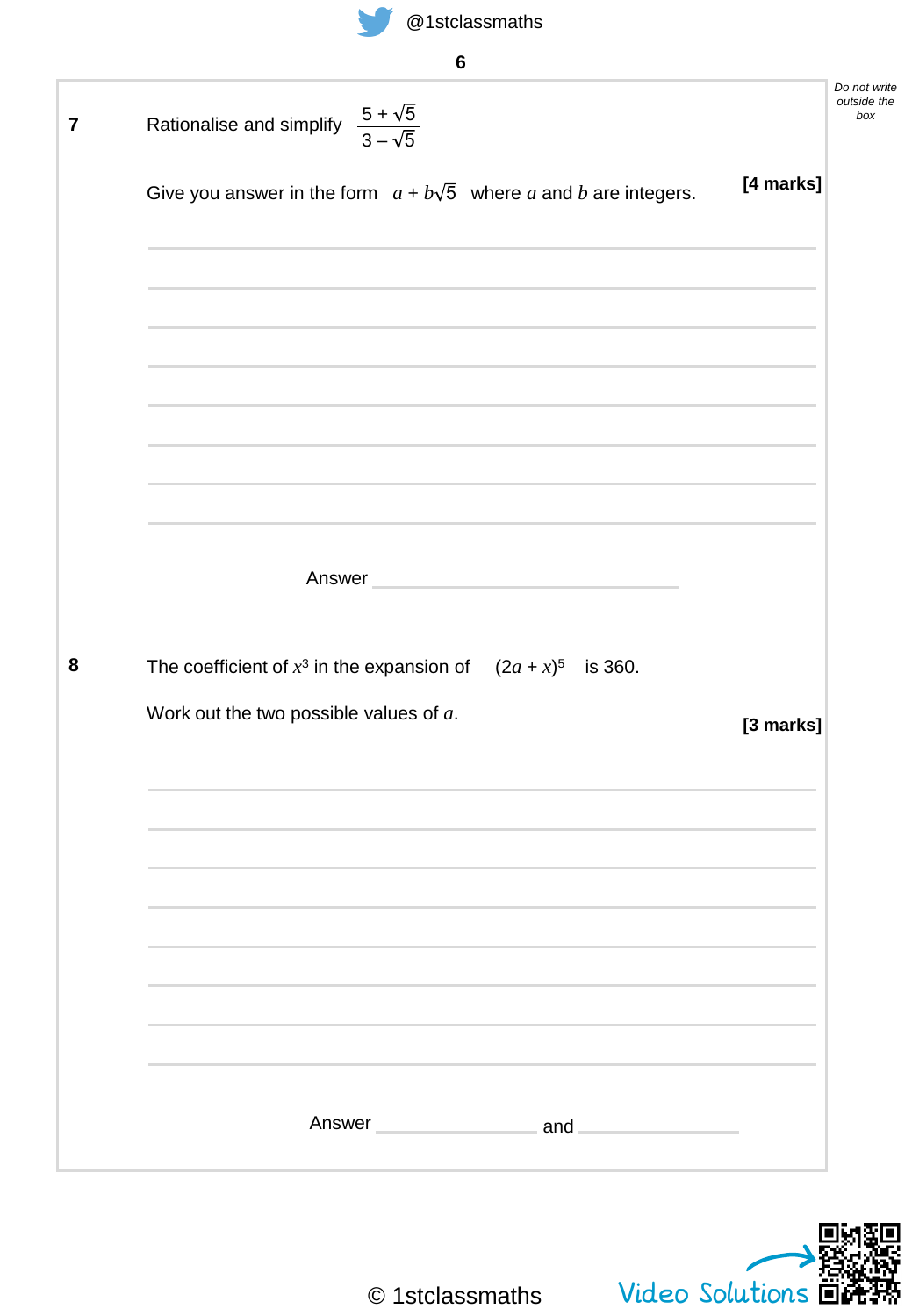| @ isiciassifiatris |  |
|--------------------|--|
|                    |  |
|                    |  |

| 7 | $\frac{5+\sqrt{5}}{3-\sqrt{5}}$<br>Rationalise and simplify                                                                                                                                          | Do not write<br>outside the<br>box |
|---|------------------------------------------------------------------------------------------------------------------------------------------------------------------------------------------------------|------------------------------------|
|   | [4 marks]<br>Give you answer in the form $a + b\sqrt{5}$ where a and b are integers.                                                                                                                 |                                    |
|   | and the control of the control of the control of the control of the control of the control of the control of the<br>,我们也不会有什么。""我们的人,我们也不会有什么?""我们的人,我们也不会有什么?""我们的人,我们也不会有什么?""我们的人,我们也不会有什么?""我们的人 |                                    |
|   |                                                                                                                                                                                                      |                                    |
|   |                                                                                                                                                                                                      |                                    |
|   | Answer and the contract of the contract of the contract of the contract of the contract of the contract of the                                                                                       |                                    |
| 8 | The coefficient of $x^3$ in the expansion of $(2a + x)^5$ is 360.                                                                                                                                    |                                    |
|   | Work out the two possible values of $a$ .<br>[3 marks]                                                                                                                                               |                                    |
|   |                                                                                                                                                                                                      |                                    |
|   |                                                                                                                                                                                                      |                                    |
|   |                                                                                                                                                                                                      |                                    |
|   | Answer and<br>the control of the control of                                                                                                                                                          |                                    |

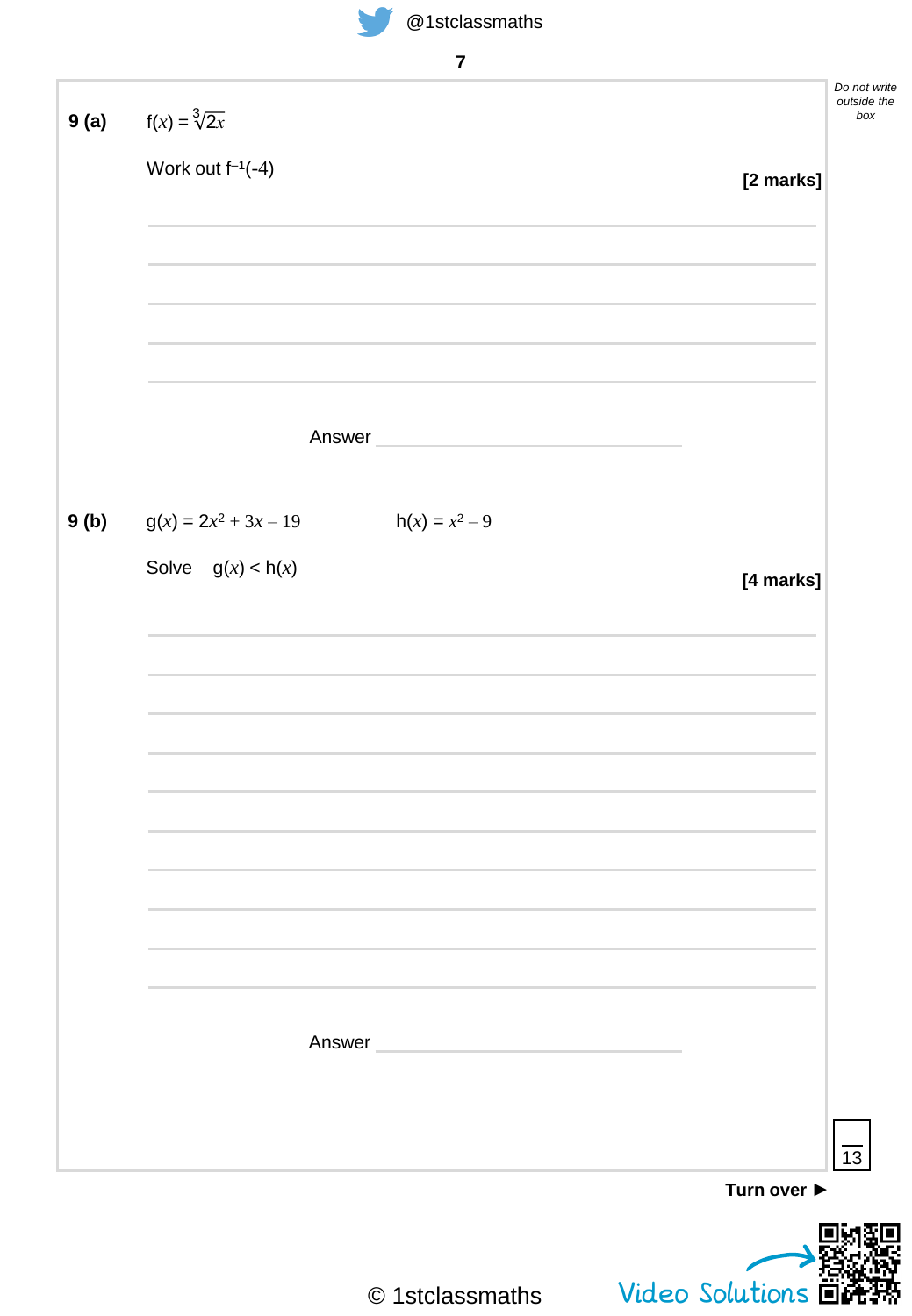



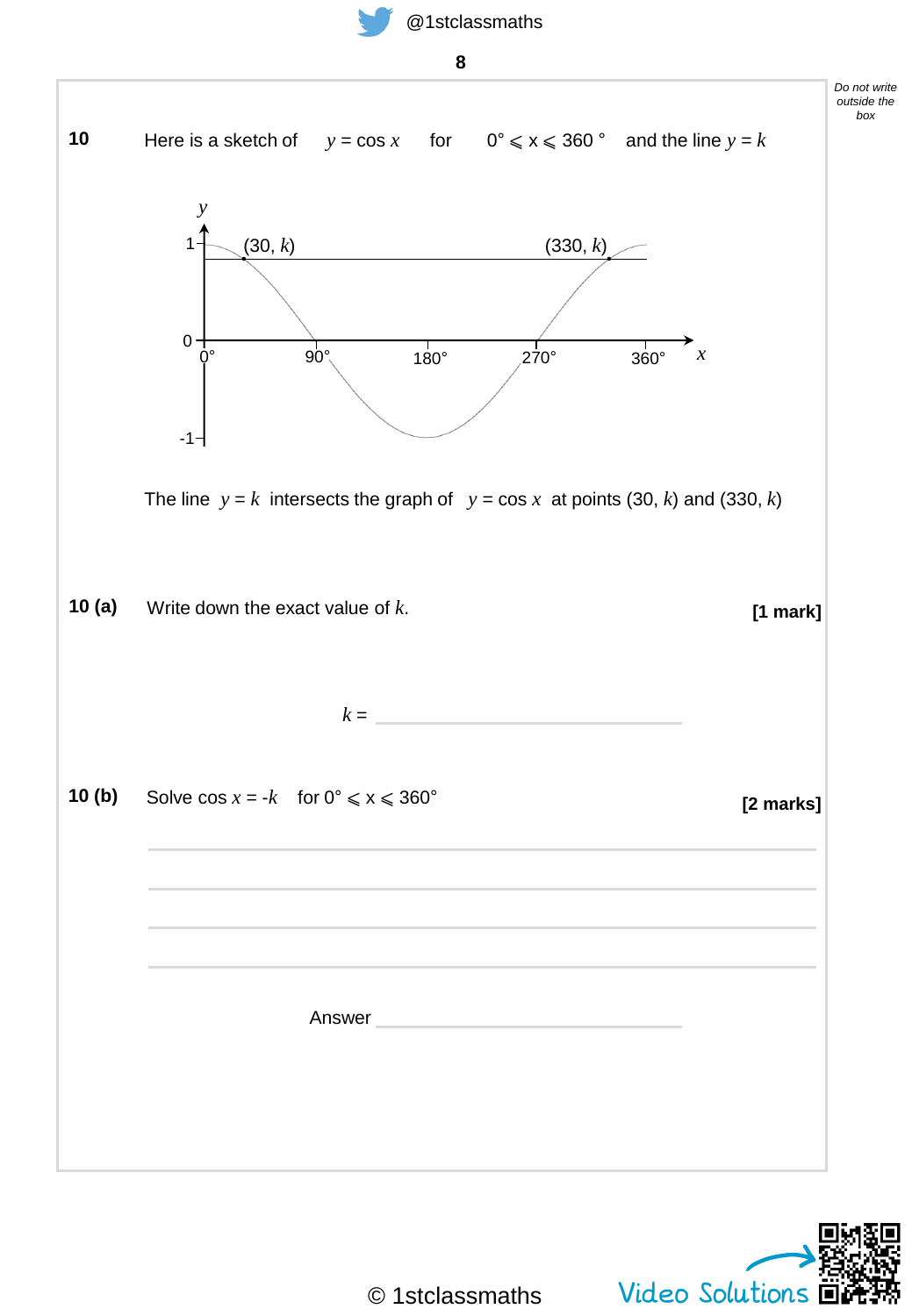



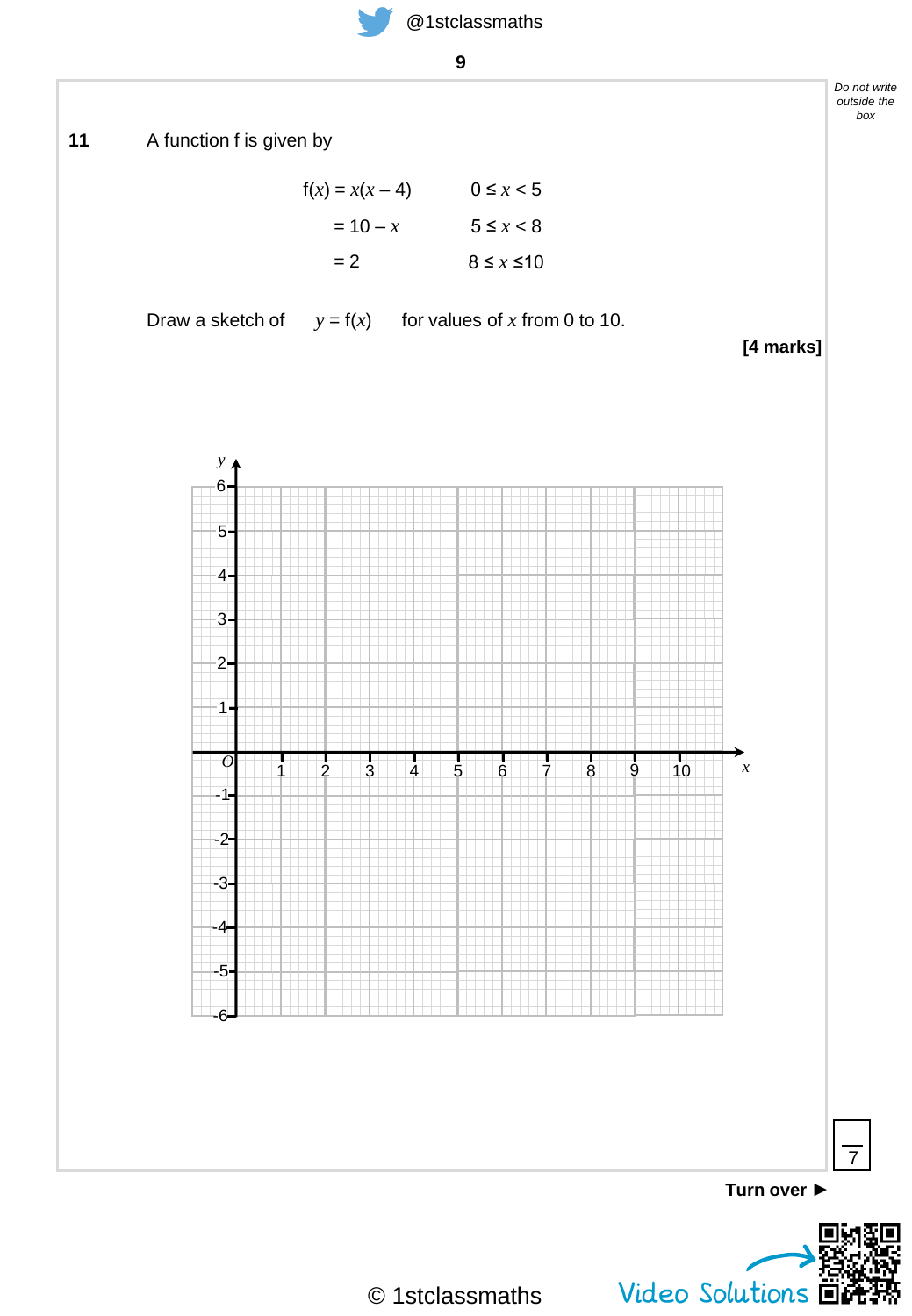**9**



© 1stclassmaths

Video Solutions  $\overline{\mathbf{B}}$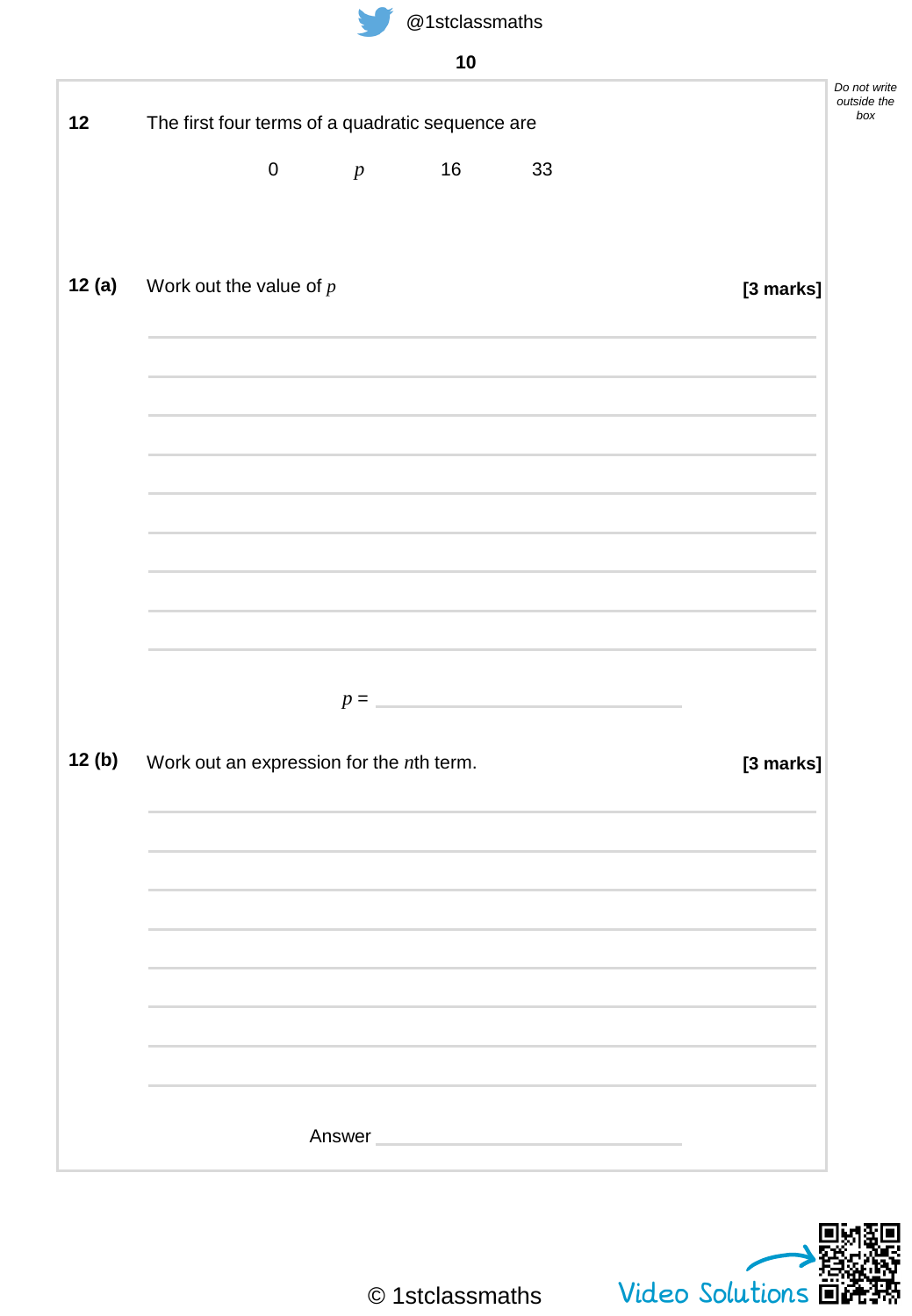



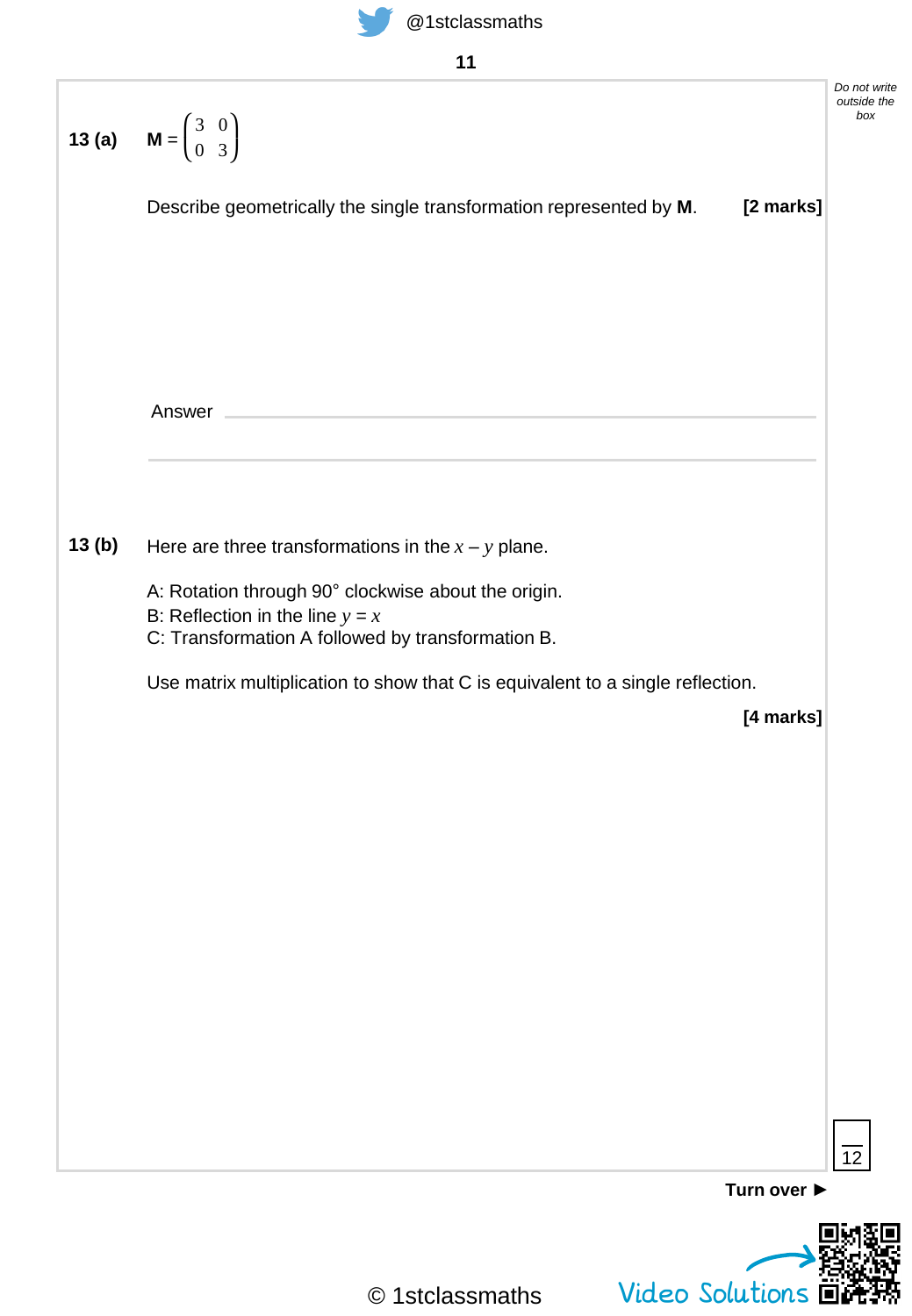

| ۰. | ۰ |
|----|---|
|    |   |

| <b>13 (a)</b> $M = \begin{pmatrix} 3 & 0 \\ 0 & 3 \end{pmatrix}$   |                                                                                           | Do not write<br>outside the<br>box                                                          |
|--------------------------------------------------------------------|-------------------------------------------------------------------------------------------|---------------------------------------------------------------------------------------------|
| Describe geometrically the single transformation represented by M. | [2 marks]                                                                                 |                                                                                             |
|                                                                    |                                                                                           |                                                                                             |
|                                                                    |                                                                                           |                                                                                             |
|                                                                    |                                                                                           |                                                                                             |
| Answer                                                             |                                                                                           |                                                                                             |
|                                                                    |                                                                                           |                                                                                             |
|                                                                    |                                                                                           |                                                                                             |
| A: Rotation through 90° clockwise about the origin.                |                                                                                           |                                                                                             |
| C: Transformation A followed by transformation B.                  |                                                                                           |                                                                                             |
|                                                                    |                                                                                           |                                                                                             |
|                                                                    |                                                                                           |                                                                                             |
|                                                                    |                                                                                           |                                                                                             |
|                                                                    |                                                                                           |                                                                                             |
|                                                                    |                                                                                           |                                                                                             |
|                                                                    |                                                                                           |                                                                                             |
|                                                                    |                                                                                           |                                                                                             |
|                                                                    |                                                                                           |                                                                                             |
|                                                                    |                                                                                           |                                                                                             |
|                                                                    | 12                                                                                        |                                                                                             |
|                                                                    | Here are three transformations in the $x - y$ plane.<br>B: Reflection in the line $y = x$ | Use matrix multiplication to show that C is equivalent to a single reflection.<br>[4 marks] |

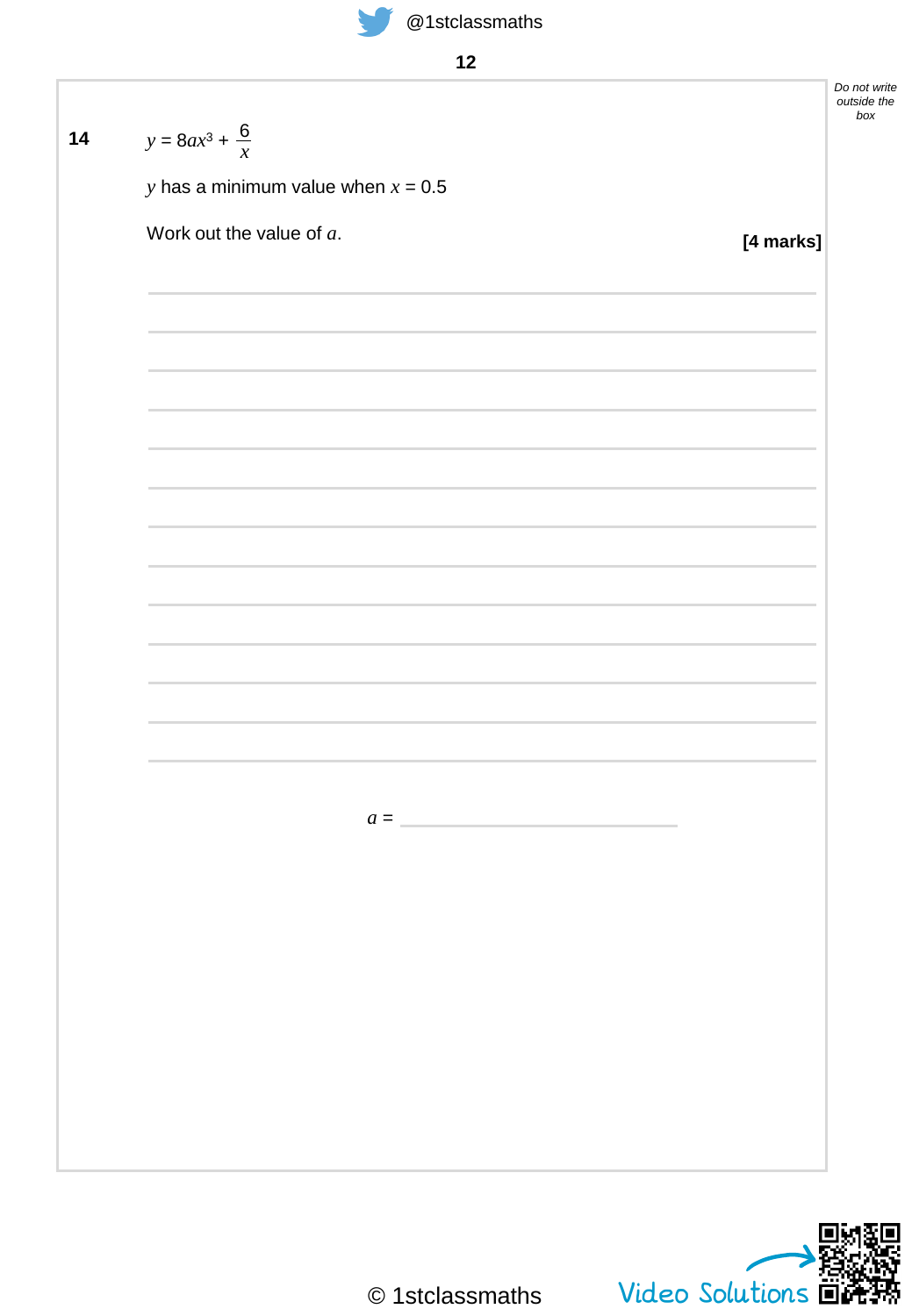

**12**

*Do not write outside the box* **[4 marks] 14**  $y = 8ax^3 + \frac{6}{x}$ *y* has a minimum value when  $x = 0.5$ Work out the value of *a*. *x*  $a =$ 

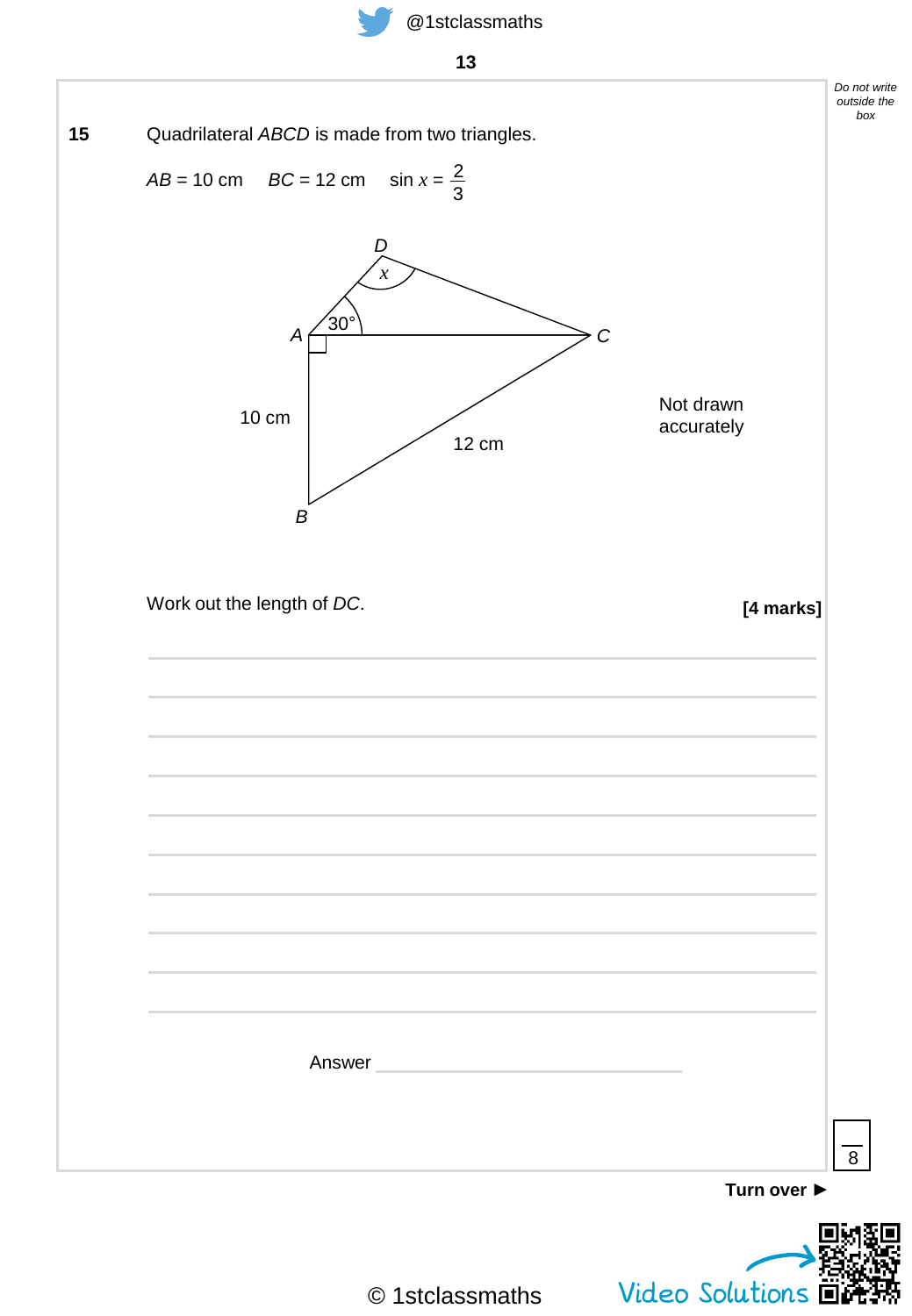



© 1stclassmaths

Video Solutions

Г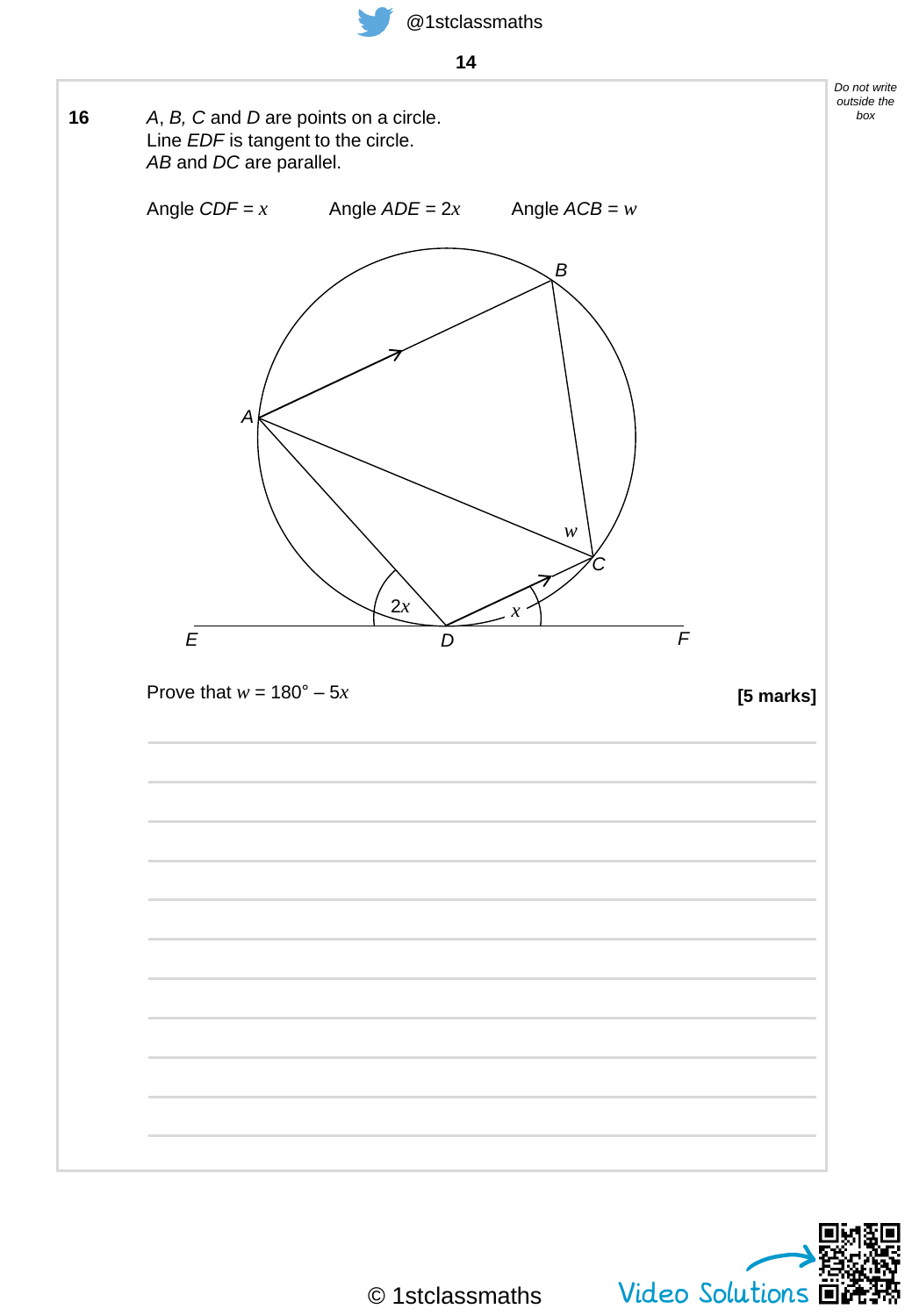



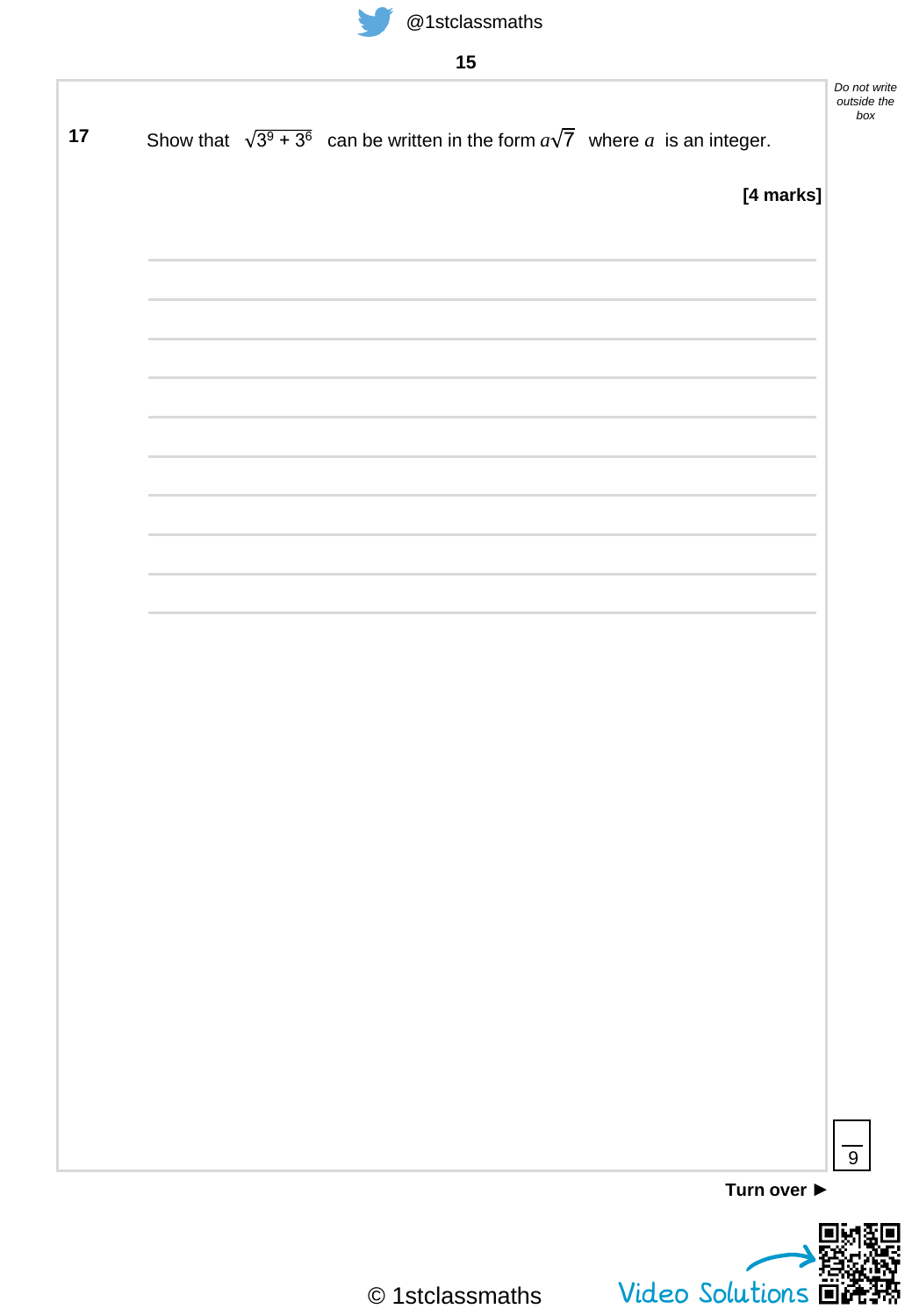

| Show that $\sqrt{3^9 + 3^6}$ can be written in the form $a\sqrt{7}$ where a is an integer. |           |
|--------------------------------------------------------------------------------------------|-----------|
|                                                                                            | [4 marks] |
|                                                                                            |           |
|                                                                                            |           |
|                                                                                            |           |
|                                                                                            |           |
|                                                                                            |           |
|                                                                                            |           |
|                                                                                            |           |
|                                                                                            |           |
|                                                                                            |           |
|                                                                                            |           |
|                                                                                            |           |
|                                                                                            |           |
|                                                                                            |           |
|                                                                                            |           |

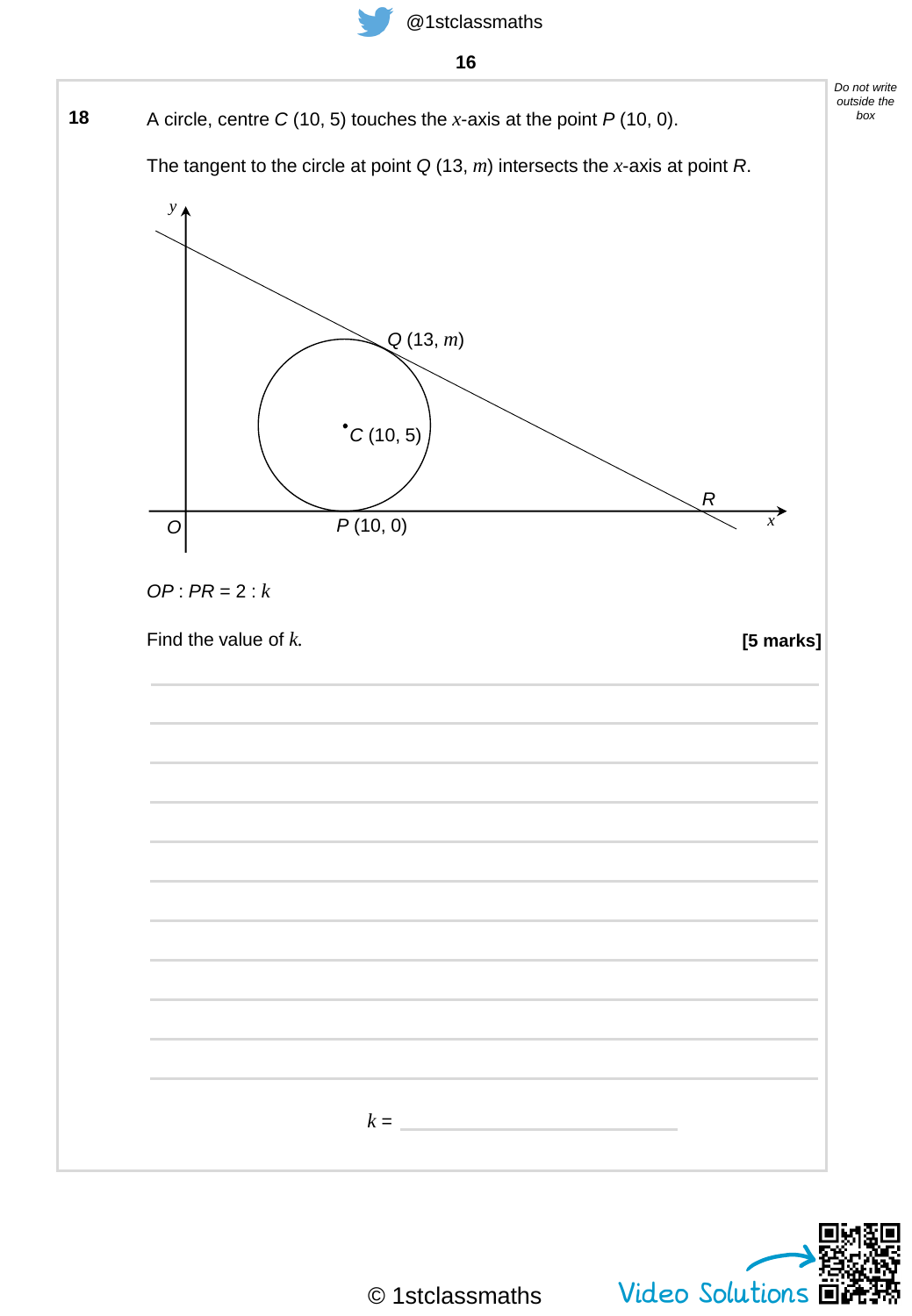

- **16**
- **18** A circle, centre *C* (10, 5) touches the *x*-axis at the point *P* (10, 0).

The tangent to the circle at point *Q* (13, *m*) intersects the *x*-axis at point *R*.





*Do not write outside the box*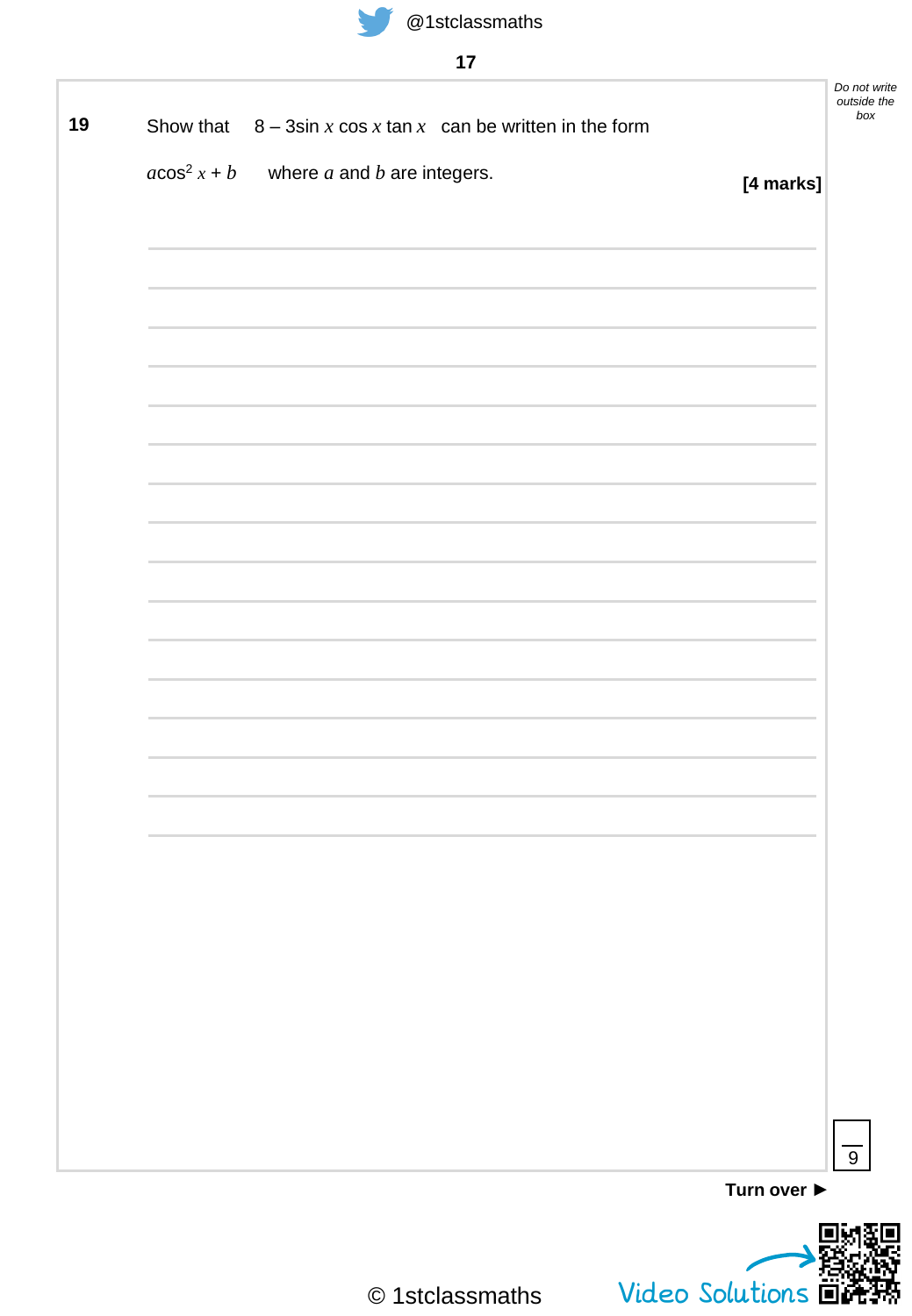

|               | Show that $8 - 3\sin x \cos x \tan x$ can be written in the form |           |
|---------------|------------------------------------------------------------------|-----------|
| $acos2 x + b$ | where $a$ and $b$ are integers.                                  |           |
|               |                                                                  | [4 marks] |
|               |                                                                  |           |
|               |                                                                  |           |
|               |                                                                  |           |
|               |                                                                  |           |
|               |                                                                  |           |
|               |                                                                  |           |
|               |                                                                  |           |
|               |                                                                  |           |
|               |                                                                  |           |
|               |                                                                  |           |
|               |                                                                  |           |
|               |                                                                  |           |
|               |                                                                  |           |
|               |                                                                  |           |
|               |                                                                  |           |
|               |                                                                  |           |
|               |                                                                  |           |
|               |                                                                  |           |
|               |                                                                  |           |
|               |                                                                  |           |
|               |                                                                  |           |
|               |                                                                  |           |
|               |                                                                  |           |
|               |                                                                  |           |
|               |                                                                  |           |